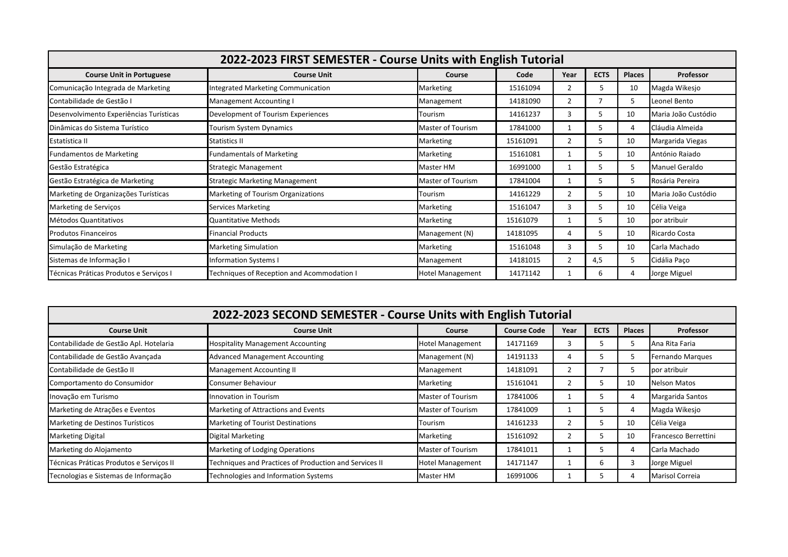| 2022-2023 FIRST SEMESTER - Course Units with English Tutorial |                                                                              |                   |          |                |     |    |                       |  |
|---------------------------------------------------------------|------------------------------------------------------------------------------|-------------------|----------|----------------|-----|----|-----------------------|--|
| <b>Course Unit in Portuguese</b>                              | <b>ECTS</b><br><b>Places</b><br><b>Course Unit</b><br>Year<br>Course<br>Code |                   |          |                |     |    |                       |  |
| Comunicação Integrada de Marketing                            | <b>Integrated Marketing Communication</b>                                    | Marketing         | 15161094 | $\overline{2}$ | 5   | 10 | Magda Wikesjo         |  |
| Contabilidade de Gestão I                                     | Management Accounting I                                                      | Management        | 14181090 |                |     | 5  | Leonel Bento          |  |
| Desenvolvimento Experiências Turísticas                       | Development of Tourism Experiences                                           | Tourism           | 14161237 | 3              | 5   | 10 | Maria João Custódio   |  |
| Dinâmicas do Sistema Turístico                                | Tourism System Dynamics                                                      | Master of Tourism | 17841000 |                | 5   | 4  | Cláudia Almeida       |  |
| Estatística II                                                | <b>Statistics II</b>                                                         | Marketing         | 15161091 | $\overline{2}$ | 5.  | 10 | Margarida Viegas      |  |
| <b>Fundamentos de Marketing</b>                               | <b>Fundamentals of Marketing</b>                                             | Marketing         | 15161081 |                | 5.  | 10 | António Raiado        |  |
| Gestão Estratégica                                            | Strategic Management                                                         | Master HM         | 16991000 |                | 5.  | 5  | <b>Manuel Geraldo</b> |  |
| Gestão Estratégica de Marketing                               | <b>Strategic Marketing Management</b>                                        | Master of Tourism | 17841004 |                | 5   | 5  | Rosária Pereira       |  |
| Marketing de Organizações Turísticas                          | Marketing of Tourism Organizations                                           | Tourism           | 14161229 |                | 5.  | 10 | Maria João Custódio   |  |
| Marketing de Serviços                                         | <b>Services Marketing</b>                                                    | Marketing         | 15161047 | 3              | 5   | 10 | Célia Veiga           |  |
| Métodos Quantitativos                                         | Quantitative Methods                                                         | Marketing         | 15161079 |                | 5   | 10 | por atribuir          |  |
| <b>Produtos Financeiros</b>                                   | <b>Financial Products</b>                                                    | Management (N)    | 14181095 | 4              | 5   | 10 | Ricardo Costa         |  |
| Simulação de Marketing                                        | <b>Marketing Simulation</b>                                                  | Marketing         | 15161048 | 3              | 5.  | 10 | Carla Machado         |  |
| Sistemas de Informação I                                      | Information Systems I                                                        | Management        | 14181015 | 2              | 4,5 | 5  | Cidália Paço          |  |
| Técnicas Práticas Produtos e Serviços I                       | Techniques of Reception and Acommodation I                                   | Hotel Management  | 14171142 |                | 6   | 4  | Jorge Miguel          |  |

| 2022-2023 SECOND SEMESTER - Course Units with English Tutorial |                                                        |                         |                    |      |             |               |                      |  |
|----------------------------------------------------------------|--------------------------------------------------------|-------------------------|--------------------|------|-------------|---------------|----------------------|--|
| <b>Course Unit</b>                                             | <b>Course Unit</b>                                     | Course                  | <b>Course Code</b> | Year | <b>ECTS</b> | <b>Places</b> | <b>Professor</b>     |  |
| Contabilidade de Gestão Apl. Hotelaria                         | <b>Hospitality Management Accounting</b>               | Hotel Management        | 14171169           | З    |             |               | Ana Rita Faria       |  |
| Contabilidade de Gestão Avançada                               | <b>Advanced Management Accounting</b>                  | Management (N)          | 14191133           |      |             | כ             | Fernando Marques     |  |
| Contabilidade de Gestão II                                     | <b>Management Accounting II</b>                        | Management              | 14181091           |      |             |               | por atribuir         |  |
| Comportamento do Consumidor                                    | Consumer Behaviour                                     | Marketing               | 15161041           |      |             | 10            | <b>Nelson Matos</b>  |  |
| Inovação em Turismo                                            | Innovation in Tourism                                  | Master of Tourism       | 17841006           |      |             |               | Margarida Santos     |  |
| Marketing de Atrações e Eventos                                | Marketing of Attractions and Events                    | Master of Tourism       | 17841009           |      |             | 4             | Magda Wikesjo        |  |
| Marketing de Destinos Turísticos                               | <b>Marketing of Tourist Destinations</b>               | Tourism                 | 14161233           |      | כ           | 10            | Célia Veiga          |  |
| <b>Marketing Digital</b>                                       | Digital Marketing                                      | Marketing               | 15161092           |      |             | 10            | Francesco Berrettini |  |
| Marketing do Alojamento                                        | Marketing of Lodging Operations                        | Master of Tourism       | 17841011           |      |             |               | Carla Machado        |  |
| Técnicas Práticas Produtos e Serviços II                       | Techniques and Practices of Production and Services II | <b>Hotel Management</b> | 14171147           |      |             |               | Jorge Miguel         |  |
| Tecnologias e Sistemas de Informação                           | Technologies and Information Systems                   | Master HM               | 16991006           |      |             | 4             | Marisol Correia      |  |